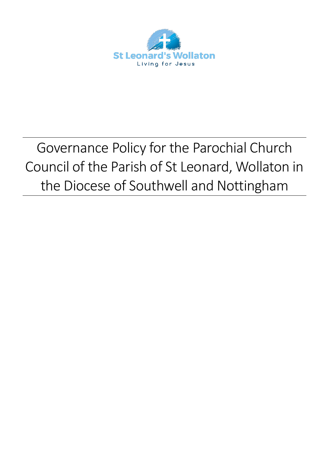

Governance Policy for the Parochial Church Council of the Parish of St Leonard, Wollaton in the Diocese of Southwell and Nottingham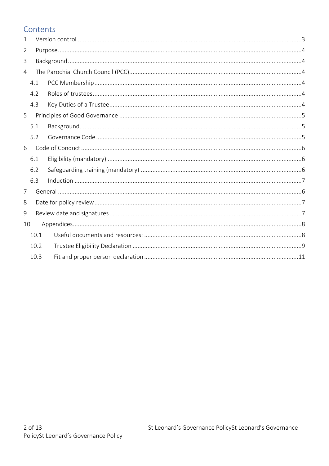### Contents

| $\mathbf{1}$   |      |  |  |  |
|----------------|------|--|--|--|
| $\overline{2}$ |      |  |  |  |
| 3              |      |  |  |  |
| 4              |      |  |  |  |
|                | 4.1  |  |  |  |
|                | 4.2  |  |  |  |
|                | 4.3  |  |  |  |
| 5              |      |  |  |  |
|                | 5.1  |  |  |  |
|                | 5.2  |  |  |  |
| 6              |      |  |  |  |
|                | 6.1  |  |  |  |
|                | 6.2  |  |  |  |
|                | 6.3  |  |  |  |
| $\overline{7}$ |      |  |  |  |
| 8              |      |  |  |  |
| 9              |      |  |  |  |
| 10             |      |  |  |  |
|                | 10.1 |  |  |  |
|                | 10.2 |  |  |  |
|                | 10.3 |  |  |  |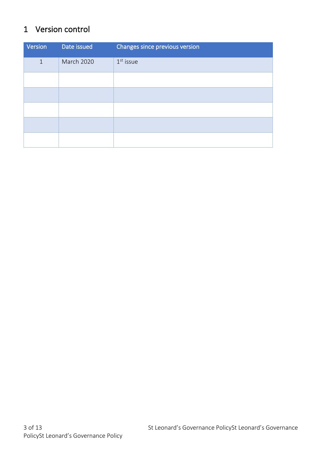## <span id="page-2-0"></span>1 Version control

| Version      | Date issued       | Changes since previous version |
|--------------|-------------------|--------------------------------|
| $\mathbf{1}$ | <b>March 2020</b> | $1st$ issue                    |
|              |                   |                                |
|              |                   |                                |
|              |                   |                                |
|              |                   |                                |
|              |                   |                                |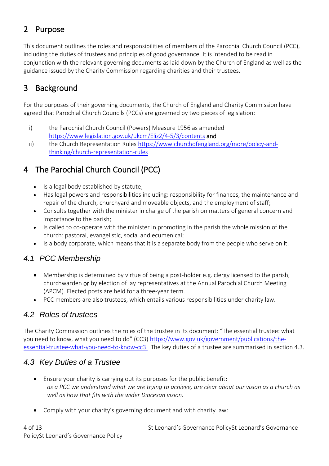## <span id="page-3-0"></span>2 Purpose

This document outlines the roles and responsibilities of members of the Parochial Church Council (PCC), including the duties of trustees and principles of good governance. It is intended to be read in conjunction with the relevant governing documents as laid down by the Church of England as well as the guidance issued by the Charity Commission regarding charities and their trustees.

# <span id="page-3-1"></span>3 Background

For the purposes of their governing documents, the Church of England and Charity Commission have agreed that Parochial Church Councils (PCCs) are governed by two pieces of legislation:

- i) the Parochial Church Council (Powers) Measure 1956 as amended <https://www.legislation.gov.uk/ukcm/Eliz2/4-5/3/contents> and
- ii) the Church Representation Rules [https://www.churchofengland.org/more/policy-and](https://www.churchofengland.org/more/policy-and-thinking/church-representation-rules)[thinking/church-representation-rules](https://www.churchofengland.org/more/policy-and-thinking/church-representation-rules)

# <span id="page-3-2"></span>4 The Parochial Church Council (PCC)

- Is a legal body established by statute;
- Has legal powers and responsibilities including: responsibility for finances, the maintenance and repair of the church, churchyard and moveable objects, and the employment of staff;
- Consults together with the minister in charge of the parish on matters of general concern and importance to the parish;
- Is called to co-operate with the minister in promoting in the parish the whole mission of the church: pastoral, evangelistic, social and ecumenical;
- Is a body corporate, which means that it is a separate body from the people who serve on it.

### <span id="page-3-3"></span>*4.1 PCC Membership*

- Membership is determined by virtue of being a post-holder e.g. clergy licensed to the parish, churchwarden or by election of lay representatives at the Annual Parochial Church Meeting (APCM). Elected posts are held for a three-year term.
- PCC members are also trustees, which entails various responsibilities under charity law.

### <span id="page-3-4"></span>*4.2 Roles of trustees*

The Charity Commission outlines the roles of the trustee in its document: "The essential trustee: what you need to know, what you need to do" (CC3) [https://www.gov.uk/government/publications/the](https://www.gov.uk/government/publications/the-essential-trustee-what-you-need-to-know-cc3)[essential-trustee-what-you-need-to-know-cc3.](https://www.gov.uk/government/publications/the-essential-trustee-what-you-need-to-know-cc3) The key duties of a trustee are summarised in sectio[n 4.3.](#page-3-5)

### <span id="page-3-5"></span>*4.3 Key Duties of a Trustee*

- Ensure your charity is carrying out its purposes for the public benefit: *as a PCC we understand what we are trying to achieve, are clear about our vision as a church as well as how that fits with the wider Diocesan vision.*
- Comply with your charity's governing document and with charity law: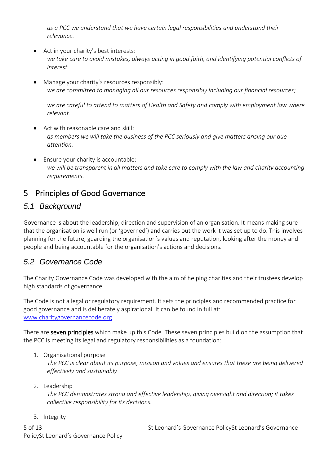*as a PCC we understand that we have certain legal responsibilities and understand their relevance.*

- Act in your charity's best interests: *we take care to avoid mistakes, always acting in good faith, and identifying potential conflicts of interest.*
- Manage your charity's resources responsibly: *we are committed to managing all our resources responsibly including our financial resources;*

*we are careful to attend to matters of Health and Safety and comply with employment law where relevant.*

- Act with reasonable care and skill: *as members we will take the business of the PCC seriously and give matters arising our due attention.*
- Ensure your charity is accountable: we will be transparent in all matters and take care to comply with the law and charity accounting *requirements.*

## <span id="page-4-0"></span>5 Principles of Good Governance

### <span id="page-4-1"></span>*5.1 Background*

Governance is about the leadership, direction and supervision of an organisation. It means making sure that the organisation is well run (or 'governed') and carries out the work it was set up to do. This involves planning for the future, guarding the organisation's values and reputation, looking after the money and people and being accountable for the organisation's actions and decisions.

### <span id="page-4-2"></span>*5.2 Governance Code*

The Charity Governance Code was developed with the aim of helping charities and their trustees develop high standards of governance.

The Code is not a legal or regulatory requirement. It sets the principles and recommended practice for good governance and is deliberately aspirational. It can be found in full at: [www.charitygovernancecode.org](http://www.charitygovernancecode.org/)

There are seven principles which make up this Code. These seven principles build on the assumption that the PCC is meeting its legal and regulatory responsibilities as a foundation:

1. Organisational purpose

*The PCC is clear about its purpose, mission and values and ensures that these are being delivered effectively and sustainably*

2. Leadership

*The PCC demonstrates strong and effective leadership, giving oversight and direction; it takes collective responsibility for its decisions.*

3. Integrity

PolicySt Leonard's Governance Policy

5 of 13 St Leonard's Governance PolicySt Leonard's Governance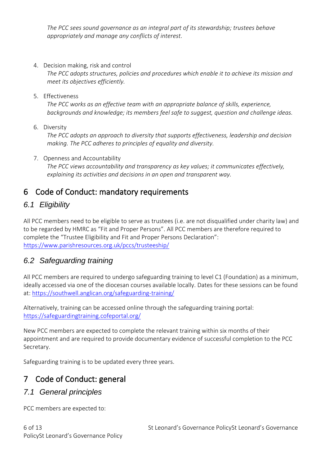*The PCC sees sound governance as an integral part of its stewardship; trustees behave appropriately and manage any conflicts of interest.*

4. Decision making, risk and control

*The PCC adopts structures, policies and procedures which enable it to achieve its mission and meet its objectives efficiently.*

5. Effectiveness

*The PCC works as an effective team with an appropriate balance of skills, experience, backgrounds and knowledge; its members feel safe to suggest, question and challenge ideas.*

6. Diversity

*The PCC adopts an approach to diversity that supports effectiveness, leadership and decision making. The PCC adheres to principles of equality and diversity.*

7. Openness and Accountability

*The PCC views accountability and transparency as key values; it communicates effectively, explaining its activities and decisions in an open and transparent way.*

## <span id="page-5-0"></span>6 Code of Conduct: mandatory requirements

### <span id="page-5-1"></span>*6.1 Eligibility*

All PCC members need to be eligible to serve as trustees (i.e. are not disqualified under charity law) and to be regarded by HMRC as "Fit and Proper Persons". All PCC members are therefore required to complete the "Trustee Eligibility and Fit and Proper Persons Declaration": <https://www.parishresources.org.uk/pccs/trusteeship/>

#### <span id="page-5-2"></span>*6.2 Safeguarding training*

All PCC members are required to undergo safeguarding training to level C1 (Foundation) as a minimum, ideally accessed via one of the diocesan courses available locally. Dates for these sessions can be found at:<https://southwell.anglican.org/safeguarding-training/>

Alternatively, training can be accessed online through the safeguarding training portal: <https://safeguardingtraining.cofeportal.org/>

New PCC members are expected to complete the relevant training within six months of their appointment and are required to provide documentary evidence of successful completion to the PCC Secretary.

Safeguarding training is to be updated every three years.

## <span id="page-5-3"></span>7 Code of Conduct: general

### *7.1 General principles*

PCC members are expected to: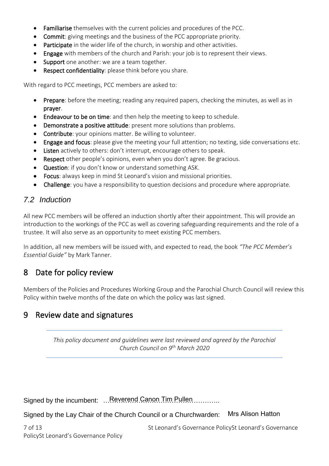- Familiarise themselves with the current policies and procedures of the PCC.
- Commit: giving meetings and the business of the PCC appropriate priority.
- Participate in the wider life of the church, in worship and other activities.
- Engage with members of the church and Parish: your job is to represent their views.
- Support one another: we are a team together.
- Respect confidentiality: please think before you share.

With regard to PCC meetings, PCC members are asked to:

- Prepare: before the meeting; reading any required papers, checking the minutes, as well as in prayer.
- Endeavour to be on time: and then help the meeting to keep to schedule.
- Demonstrate a positive attitude: present more solutions than problems.
- Contribute: your opinions matter. Be willing to volunteer.
- **Engage and focus**: please give the meeting your full attention; no texting, side conversations etc.
- Listen actively to others: don't interrupt, encourage others to speak.
- Respect other people's opinions, even when you don't agree. Be gracious.
- Question: if you don't know or understand something ASK.
- Focus: always keep in mind St Leonard's vision and missional priorities.
- Challenge: you have a responsibility to question decisions and procedure where appropriate.

### <span id="page-6-0"></span>*7.2 Induction*

All new PCC members will be offered an induction shortly after their appointment. This will provide an introduction to the workings of the PCC as well as covering safeguarding requirements and the role of a trustee. It will also serve as an opportunity to meet existing PCC members.

In addition, all new members will be issued with, and expected to read, the book *"The PCC Member's Essential Guide"* by Mark Tanner.

### 8 Date for policy review

Members of the Policies and Procedures Working Group and the Parochial Church Council will review this Policy within twelve months of the date on which the policy was last signed.

### <span id="page-6-1"></span>9 Review date and signatures

*This policy document and guidelines were last reviewed and agreed by the Parochial Church Council on 9 th March 2020*

Signed by the incumbent: ...Reverend Canon Tim Pullen ............

Signed by the Lay Chair of the Church Council or a Churchwarden: Mrs Alison Hatton

PolicySt Leonard's Governance Policy

7 of 13 St Leonard's Governance PolicySt Leonard's Governance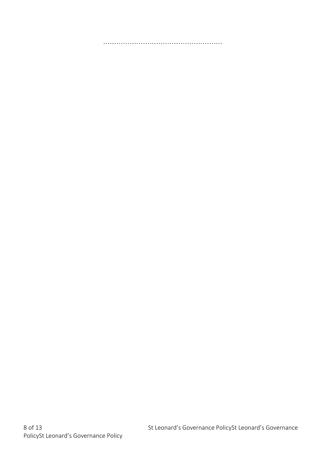………………………………………………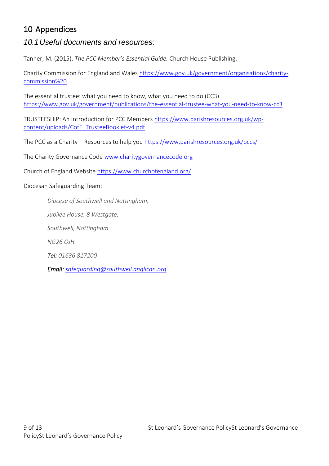### <span id="page-8-0"></span>10 Appendices

#### <span id="page-8-1"></span>*10.1Useful documents and resources:*

Tanner, M. (2015). *The PCC Member's Essential Guide.* Church House Publishing.

Charity Commission for England and Wales [https://www.gov.uk/government/organisations/charity](https://www.gov.uk/government/organisations/charity-commission)[commission%20](https://www.gov.uk/government/organisations/charity-commission)

The essential trustee: what you need to know, what you need to do (CC3) <https://www.gov.uk/government/publications/the-essential-trustee-what-you-need-to-know-cc3>

TRUSTEESHIP: An Introduction for PCC Members https://www.parishresources.org.uk/wpcontent/uploads/CofE\_TrusteeBooklet-v4.pdf

The PCC as a Charity – Resources to help you <https://www.parishresources.org.uk/pccs/>

The Charity Governance Code [www.charitygovernancecode.org](http://www.charitygovernancecode.org/)

Church of England Website <https://www.churchofengland.org/>

Diocesan Safeguarding Team:

*Diocese of Southwell and Nottingham,*

*Jubilee House, 8 Westgate,*

*Southwell, Nottingham*

*NG26 OJH*

*Tel: 01636 817200*

*Email: [safeguarding@southwell.anglican.org](mailto:safeguarding@southwell.anglican.org)*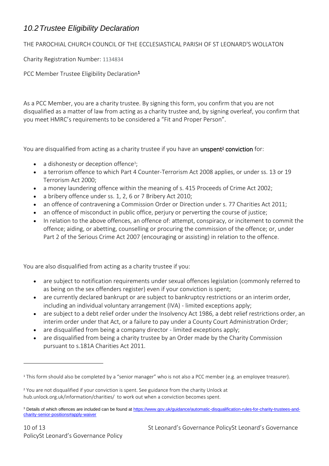### <span id="page-9-0"></span>*10.2Trustee Eligibility Declaration*

THE PAROCHIAL CHURCH COUNCIL OF THE ECCLESIASTICAL PARISH OF ST LEONARD'S WOLLATON

Charity Registration Number: 1134834

PCC Member Trustee Eligibility Declaration<sup>1</sup>

As a PCC Member, you are a charity trustee. By signing this form, you confirm that you are not disqualified as a matter of law from acting as a charity trustee and, by signing overleaf, you confirm that you meet HMRC's requirements to be considered a "Fit and Proper Person".

You are disqualified from acting as a charity trustee if you have an **unspent<sup>2</sup> conviction** for:

- a dishonesty or deception offence<sup>3</sup>;
- a terrorism offence to which Part 4 Counter-Terrorism Act 2008 applies, or under ss. 13 or 19 Terrorism Act 2000;
- a money laundering offence within the meaning of s. 415 Proceeds of Crime Act 2002;
- a bribery offence under ss. 1, 2, 6 or 7 Bribery Act 2010;
- an offence of contravening a Commission Order or Direction under s. 77 Charities Act 2011;
- an offence of misconduct in public office, perjury or perverting the course of justice;
- In relation to the above offences, an offence of: attempt, conspiracy, or incitement to commit the offence; aiding, or abetting, counselling or procuring the commission of the offence; or, under Part 2 of the Serious Crime Act 2007 (encouraging or assisting) in relation to the offence.

You are also disqualified from acting as a charity trustee if you:

- are subject to notification requirements under sexual offences legislation (commonly referred to as being on the sex offenders register) even if your conviction is spent;
- are currently declared bankrupt or are subject to bankruptcy restrictions or an interim order, including an individual voluntary arrangement (IVA) - limited exceptions apply;
- are subject to a debt relief order under the Insolvency Act 1986, a debt relief restrictions order, an interim order under that Act, or a failure to pay under a County Court Administration Order;
- are disqualified from being a company director limited exceptions apply;
- are disqualified from being a charity trustee by an Order made by the Charity Commission pursuant to s.181A Charities Act 2011.

<sup>1</sup> This form should also be completed by a "senior manager" who is not also a PCC member (e.g. an employee treasurer).

<sup>&</sup>lt;sup>2</sup> You are not disqualified if your conviction is spent. See guidance from the charity Unlock at hub.unlock.org.uk/information/charities/ to work out when a conviction becomes spent.

<sup>&</sup>lt;sup>3</sup> Details of which offences are included can be found a[t https://www.gov.uk/guidance/automatic-disqualification-rules-for-charity-trustees-and](https://www.gov.uk/guidance/automatic-disqualification-rules-for-charity-trustees-and-charity-senior-positions#apply-waiver)[charity-senior-positions#apply-waiver](https://www.gov.uk/guidance/automatic-disqualification-rules-for-charity-trustees-and-charity-senior-positions#apply-waiver)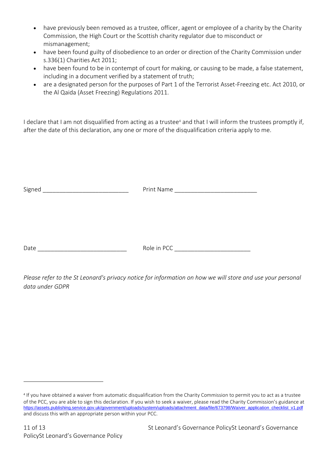- have previously been removed as a trustee, officer, agent or employee of a charity by the Charity Commission, the High Court or the Scottish charity regulator due to misconduct or mismanagement;
- have been found guilty of disobedience to an order or direction of the Charity Commission under s.336(1) Charities Act 2011;
- have been found to be in contempt of court for making, or causing to be made, a false statement, including in a document verified by a statement of truth;
- are a designated person for the purposes of Part 1 of the Terrorist Asset-Freezing etc. Act 2010, or the Al Qaida (Asset Freezing) Regulations 2011.

I declare that I am not disqualified from acting as a trustee<sup>4</sup> and that I will inform the trustees promptly if, after the date of this declaration, any one or more of the disqualification criteria apply to me.

| Signed | Print Name  |  |
|--------|-------------|--|
|        |             |  |
|        |             |  |
|        |             |  |
|        |             |  |
|        |             |  |
| Date   | Role in PCC |  |

*Please refer to the St Leonard's privacy notice for information on how we will store and use your personal data under GDPR*

<sup>4</sup> If you have obtained a waiver from automatic disqualification from the Charity Commission to permit you to act as a trustee of the PCC, you are able to sign this declaration. If you wish to seek a waiver, please read the Charity Commission's guidance at [https://assets.publishing.service.gov.uk/government/uploads/system/uploads/attachment\\_data/file/673798/Waiver\\_application\\_checklist\\_v1.pdf](https://assets.publishing.service.gov.uk/government/uploads/system/uploads/attachment_data/file/673798/Waiver_application_checklist_v1.pdf) and discuss this with an appropriate person within your PCC.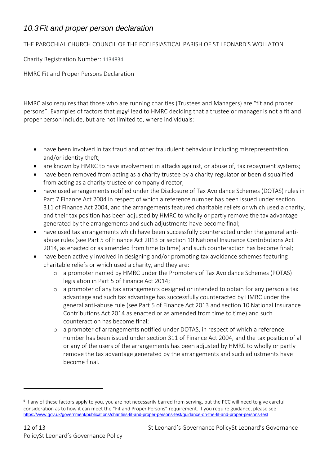#### <span id="page-11-0"></span>*10.3Fit and proper person declaration*

#### THE PAROCHIAL CHURCH COUNCIL OF THE ECCLESIASTICAL PARISH OF ST LEONARD'S WOLLATON

Charity Registration Number: 1134834

HMRC Fit and Proper Persons Declaration

HMRC also requires that those who are running charities (Trustees and Managers) are "fit and proper persons". Examples of factors that may<sup>5</sup> lead to HMRC deciding that a trustee or manager is not a fit and proper person include, but are not limited to, where individuals:

- have been involved in tax fraud and other fraudulent behaviour including misrepresentation and/or identity theft;
- are known by HMRC to have involvement in attacks against, or abuse of, tax repayment systems;
- have been removed from acting as a charity trustee by a charity regulator or been disqualified from acting as a charity trustee or company director;
- have used arrangements notified under the Disclosure of Tax Avoidance Schemes (DOTAS) rules in Part 7 Finance Act 2004 in respect of which a reference number has been issued under section 311 of Finance Act 2004, and the arrangements featured charitable reliefs or which used a charity, and their tax position has been adjusted by HMRC to wholly or partly remove the tax advantage generated by the arrangements and such adjustments have become final;
- have used tax arrangements which have been successfully counteracted under the general antiabuse rules (see Part 5 of Finance Act 2013 or section 10 National Insurance Contributions Act 2014, as enacted or as amended from time to time) and such counteraction has become final;
- have been actively involved in designing and/or promoting tax avoidance schemes featuring charitable reliefs or which used a charity, and they are:
	- o a promoter named by HMRC under the Promoters of Tax Avoidance Schemes (POTAS) legislation in Part 5 of Finance Act 2014;
	- o a promoter of any tax arrangements designed or intended to obtain for any person a tax advantage and such tax advantage has successfully counteracted by HMRC under the general anti-abuse rule (see Part 5 of Finance Act 2013 and section 10 National Insurance Contributions Act 2014 as enacted or as amended from time to time) and such counteraction has become final;
	- o a promoter of arrangements notified under DOTAS, in respect of which a reference number has been issued under section 311 of Finance Act 2004, and the tax position of all or any of the users of the arrangements has been adjusted by HMRC to wholly or partly remove the tax advantage generated by the arrangements and such adjustments have become final.

<sup>5</sup> If any of these factors apply to you, you are not necessarily barred from serving, but the PCC will need to give careful consideration as to how it can meet the "Fit and Proper Persons" requirement. If you require guidance, please see <https://www.gov.uk/government/publications/charities-fit-and-proper-persons-test/guidance-on-the-fit-and-proper-persons-test>